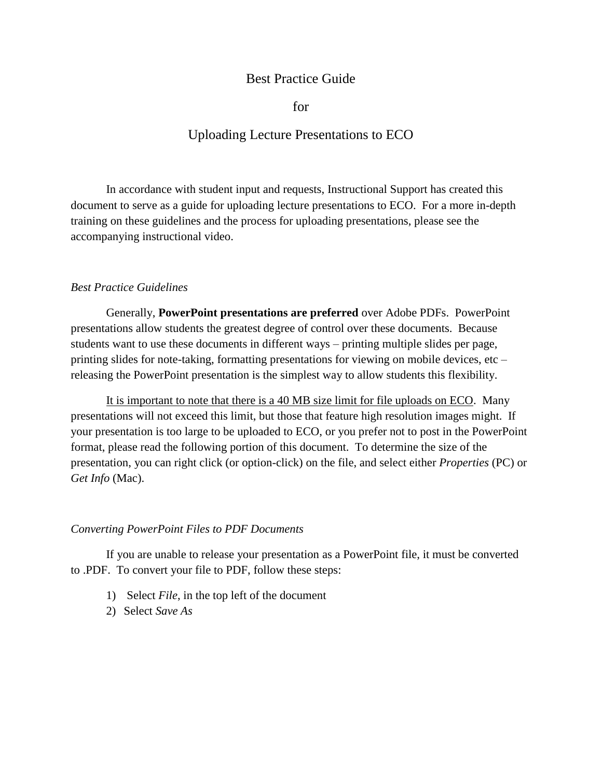## Best Practice Guide

for

## Uploading Lecture Presentations to ECO

In accordance with student input and requests, Instructional Support has created this document to serve as a guide for uploading lecture presentations to ECO. For a more in-depth training on these guidelines and the process for uploading presentations, please see the accompanying instructional video.

## *Best Practice Guidelines*

Generally, **PowerPoint presentations are preferred** over Adobe PDFs. PowerPoint presentations allow students the greatest degree of control over these documents. Because students want to use these documents in different ways – printing multiple slides per page, printing slides for note-taking, formatting presentations for viewing on mobile devices, etc – releasing the PowerPoint presentation is the simplest way to allow students this flexibility.

It is important to note that there is a 40 MB size limit for file uploads on ECO. Many presentations will not exceed this limit, but those that feature high resolution images might. If your presentation is too large to be uploaded to ECO, or you prefer not to post in the PowerPoint format, please read the following portion of this document. To determine the size of the presentation, you can right click (or option-click) on the file, and select either *Properties* (PC) or *Get Info* (Mac).

## *Converting PowerPoint Files to PDF Documents*

If you are unable to release your presentation as a PowerPoint file, it must be converted to .PDF. To convert your file to PDF, follow these steps:

- 1) Select *File*, in the top left of the document
- 2) Select *Save As*